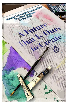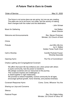## *A Future That is Ours to Create*

## Order of Service May 31, 2020

The future is not some place we are going, but one we are creating. The paths are not to be found, but made, and the activity of making them changes both the maker and the destination.

- John Schaar

Music for Gathering **Halmark** Music for Gathering Hal Walker Music Director

Welcome and Announcements The Rev. Steven Protzman Minister, UU Church of Kent

Chime

Prelude *Just Who We Are* by H. Walker Golden Tones Youth Choir

Call to Worship Camille Pavlicek-Fauser Worship Associate

Opening Hymn *The Fire of Commitment*

Chalice Lighting and Congregational Covenant

We affirm that each life has brilliance and, when joined with others in joyful community, has the power to transform. We pledge ourselves and our resources to this journey. This covenant inspires and challenges us to dwell together in right relationship. We promise to extend hospitality, nurture community for all ages, encourage spiritual growth, honor diversity, and practice kindness.

Covenant Response Hymn *Come, Come, Whoever You Are* 

Sharing our Joys and Concerns

**Silence** 

Pastoral Prayer **Rev.** Erin Dajka Holley Minister, UU Church of Utica, NY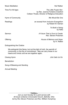Music Meditation **Music Meditation** Music Meditation

Time For All Ages *The Little Purple Hen* by Rev. Joanna Fontaine Crawford Colleen Thoele, Director of Religious Education

Hymn of Community *We Would Be One*

Readings an excerpt from *Inclusive Evangelism* by Robert W. Karnan

> *To Build a Swing* by Hafiz

Sermon *A Future That is Ours to Create* Rev. Steven Protzman

Offering *House of Memory and Hope* by H. Walker

Extinguishing the Chalice

We extinguish this flame, but not the light of truth, the warmth of community, or the fire of commitment. May we carry these in our hearts and minds until we are together again.

Closing Hymn *Life Calls Us On*

**Benediction** 

Song of Blessing and Sending

Annual Meeting



*Join us next Sunday for a joint service with All Souls Unitarian Universalist Church, Bellville, Ohio led by Rev Steven Protzman and Rev. William Humphrey*